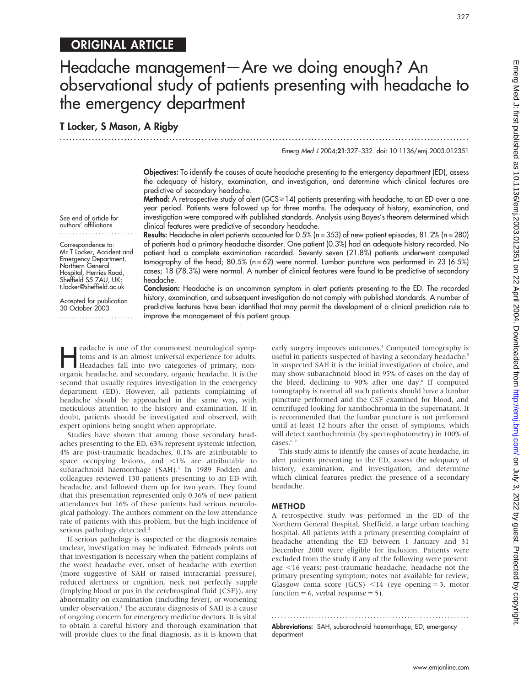# ORIGINAL ARTICLE

# Headache management—Are we doing enough? An observational study of patients presenting with headache to the emergency department

.............................................................................................................................. .

# T Locker, S Mason, A Rigby

Emerg Med J 2004;21:327–332. doi: 10.1136/emj.2003.012351

327

Objectives: To identify the causes of acute headache presenting to the emergency department (ED), assess the adequacy of history, examination, and investigation, and determine which clinical features are predictive of secondary headache.

Method: A retrospective study of alert (GCS>14) patients presenting with headache, to an ED over a one year period. Patients were followed up for three months. The adequacy of history, examination, and investigation were compared with published standards. Analysis using Bayes's theorem determined which clinical features were predictive of secondary headache.

authors' affiliations ....................... Correspondence to: Mr T Locker, Accident and Results: Headache in alert patients accounted for 0.5% (n = 353) of new patient episodes, 81.2% (n = 280) of patients had a primary headache disorder. One patient (0.3%) had an adequate history recorded. No patient had a complete examination recorded. Seventy seven (21.8%) patients underwent computed tomography of the head; 80.5% (n = 62) were normal. Lumbar puncture was performed in 23 (6.5%)

Emergency Department, Northern General Hospital, Herries Road, Sheffield S5 7AU, UK; t.locker@sheffield.ac.uk

See end of article for

Accepted for publication 30 October 2003

cases; 18 (78.3%) were normal. A number of clinical features were found to be predictive of secondary headache. Conclusion: Headache is an uncommon symptom in alert patients presenting to the ED. The recorded history, examination, and subsequent investigation do not comply with published standards. A number of predictive features have been identified that may permit the development of a clinical prediction rule to

**Headache is one of the commonest neurological symp-**<br>toms and is an almost universal experience for adults.<br>Headaches fall into two categories of primary, non-<br>organic headache and secondary organic headache. It is the toms and is an almost universal experience for adults. organic headache, and secondary, organic headache. It is the second that usually requires investigation in the emergency department (ED). However, all patients complaining of headache should be approached in the same way, with meticulous attention to the history and examination. If in doubt, patients should be investigated and observed, with expert opinions being sought when appropriate.

improve the management of this patient group.

Studies have shown that among those secondary headaches presenting to the ED, 63% represent systemic infection, 4% are post-traumatic headaches, 0.1% are attributable to space occupying lesions, and  $\langle 1\%$  are attributable to subarachnoid haemorrhage (SAH).<sup>1</sup> In 1989 Fodden and colleagues reviewed 130 patients presenting to an ED with headache, and followed them up for two years. They found that this presentation represented only 0.36% of new patient attendances but 16% of these patients had serious neurological pathology. The authors comment on the low attendance rate of patients with this problem, but the high incidence of serious pathology detected.<sup>2</sup>

If serious pathology is suspected or the diagnosis remains unclear, investigation may be indicated. Edmeads points out that investigation is necessary when the patient complains of the worst headache ever, onset of headache with exertion (more suggestive of SAH or raised intracranial pressure), reduced alertness or cognition, neck not perfectly supple (implying blood or pus in the cerebrospinal fluid (CSF)), any abnormality on examination (including fever), or worsening under observation.<sup>3</sup> The accurate diagnosis of SAH is a cause of ongoing concern for emergency medicine doctors. It is vital to obtain a careful history and thorough examination that will provide clues to the final diagnosis, as it is known that early surgery improves outcomes.<sup>4</sup> Computed tomography is useful in patients suspected of having a secondary headache.<sup>5</sup> In suspected SAH it is the initial investigation of choice, and may show subarachnoid blood in 95% of cases on the day of the bleed, declining to 90% after one day.<sup>6</sup> If computed tomography is normal all such patients should have a lumbar puncture performed and the CSF examined for blood, and centrifuged looking for xanthochromia in the supernatant. It is recommended that the lumbar puncture is not performed until at least 12 hours after the onset of symptoms, which will detect xanthochromia (by spectrophotometry) in 100% of cases.<sup>67</sup>

This study aims to identify the causes of acute headache, in alert patients presenting to the ED, assess the adequacy of history, examination, and investigation, and determine which clinical features predict the presence of a secondary headache.

#### METHOD

A retrospective study was performed in the ED of the Northern General Hospital, Sheffield, a large urban teaching hospital. All patients with a primary presenting complaint of headache attending the ED between 1 January and 31 December 2000 were eligible for inclusion. Patients were excluded from the study if any of the following were present: age <16 years; post-traumatic headache; headache not the primary presenting symptom; notes not available for review; Glasgow coma score (GCS)  $\leq$ 14 (eye opening = 3, motor function = 6, verbal response = 5).

............................................................... . Abbreviations: SAH, subarachnoid haemorrhage; ED, emergency department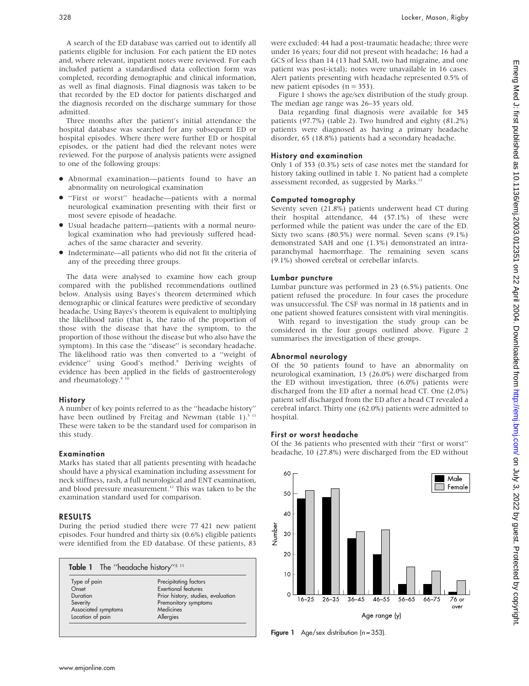A search of the ED database was carried out to identify all patients eligible for inclusion. For each patient the ED notes and, where relevant, inpatient notes were reviewed. For each included patient a standardised data collection form was completed, recording demographic and clinical information, as well as final diagnosis. Final diagnosis was taken to be that recorded by the ED doctor for patients discharged and the diagnosis recorded on the discharge summary for those admitted.

Three months after the patient's initial attendance the hospital database was searched for any subsequent ED or hospital episodes. Where there were further ED or hospital episodes, or the patient had died the relevant notes were reviewed. For the purpose of analysis patients were assigned to one of the following groups:

- N Abnormal examination—patients found to have an abnormality on neurological examination
- N ''First or worst'' headache—patients with a normal neurological examination presenting with their first or most severe episode of headache.
- N Usual headache pattern—patients with a normal neurological examination who had previously suffered headaches of the same character and severity.
- N Indeterminate—all patients who did not fit the criteria of any of the preceding three groups.

The data were analysed to examine how each group compared with the published recommendations outlined below. Analysis using Bayes's theorem determined which demographic or clinical features were predictive of secondary headache. Using Bayes's theorem is equivalent to multiplying the likelihood ratio (that is, the ratio of the proportion of those with the disease that have the symptom, to the proportion of those without the disease but who also have the symptom). In this case the ''disease'' is secondary headache. The likelihood ratio was then converted to a ''weight of evidence" using Good's method.8 Deriving weights of evidence has been applied in the fields of gastroenterology and rheumatology. $9<sup>1</sup>$ 

#### **History**

A number of key points referred to as the ''headache history'' have been outlined by Freitag and Newman (table 1).<sup>5 11</sup> These were taken to be the standard used for comparison in this study.

#### Examination

Marks has stated that all patients presenting with headache should have a physical examination including assessment for neck stiffness, rash, a full neurological and ENT examination, and blood pressure measurement.<sup>12</sup> This was taken to be the examination standard used for comparison.

#### RESULTS

During the period studied there were 77 421 new patient episodes. Four hundred and thirty six (0.6%) eligible patients were identified from the ED database. Of these patients, 83

| Table 1 The "headache history" <sup>5 11</sup> |                                    |  |  |
|------------------------------------------------|------------------------------------|--|--|
| Type of pain                                   | Precipitating factors              |  |  |
| Onset                                          | Exertional features                |  |  |
| Duration                                       | Prior history, studies, evaluation |  |  |
| Severity                                       | Premonitory symptoms               |  |  |
| Associated symptoms                            | Medicines                          |  |  |
| Location of pain                               | Allergies                          |  |  |

were excluded: 44 had a post-traumatic headache; three were under 16 years; four did not present with headache; 16 had a GCS of less than 14 (13 had SAH, two had migraine, and one patient was post-ictal); notes were unavailable in 16 cases. Alert patients presenting with headache represented 0.5% of new patient episodes  $(n = 353)$ .

Figure 1 shows the age/sex distribution of the study group. The median age range was 26–35 years old.

Data regarding final diagnosis were available for 345 patients (97.7%) (table 2). Two hundred and eighty (81.2%) patients were diagnosed as having a primary headache disorder, 65 (18.8%) patients had a secondary headache.

#### History and examination

Only 1 of 353 (0.3%) sets of case notes met the standard for history taking outlined in table 1. No patient had a complete assessment recorded, as suggested by Marks.<sup>12</sup>

#### Computed tomography

Seventy seven (21.8%) patients underwent head CT during their hospital attendance, 44 (57.1%) of these were performed while the patient was under the care of the ED. Sixty two scans (80.5%) were normal. Seven scans (9.1%) demonstrated SAH and one (1.3%) demonstrated an intraparanchymal haemorrhage. The remaining seven scans (9.1%) showed cerebral or cerebellar infarcts.

#### Lumbar puncture

Lumbar puncture was performed in 23 (6.5%) patients. One patient refused the procedure. In four cases the procedure was unsuccessful. The CSF was normal in 18 patients and in one patient showed features consistent with viral meningitis.

With regard to investigation the study group can be considered in the four groups outlined above. Figure 2 summarises the investigation of these groups.

#### Abnormal neurology

Of the 50 patients found to have an abnormality on neurological examination, 13 (26.0%) were discharged from the ED without investigation, three (6.0%) patients were discharged from the ED after a normal head CT. One (2.0%) patient self discharged from the ED after a head CT revealed a cerebral infarct. Thirty one (62.0%) patients were admitted to hospital.

#### First or worst headache

Of the 36 patients who presented with their ''first or worst'' headache, 10 (27.8%) were discharged from the ED without



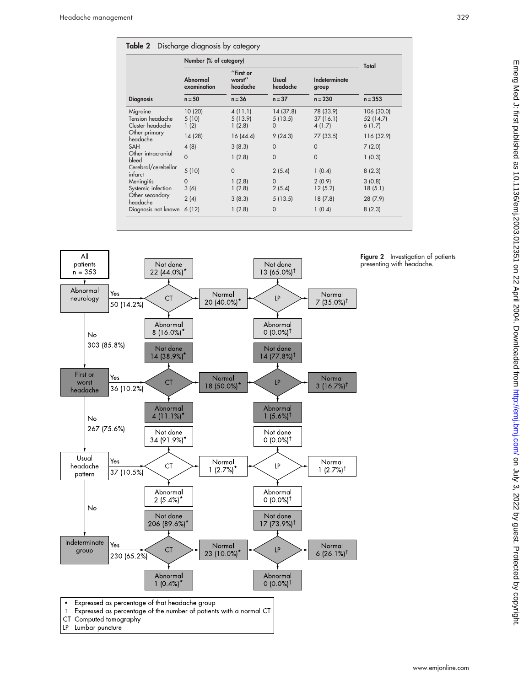|                                                  |                         | Number (% of category)          |                                  |                                 | Total                             |
|--------------------------------------------------|-------------------------|---------------------------------|----------------------------------|---------------------------------|-----------------------------------|
|                                                  | Abnormal<br>examination | "First or<br>worst"<br>headache | Usual<br>headache                | Indeterminate<br>group          |                                   |
| <b>Diagnosis</b>                                 | $n = 50$                | $n = 36$                        | $n = 37$                         | $n = 230$                       | $n = 353$                         |
| Migraine<br>Tension headache<br>Cluster headache | 10(20)<br>5(10)<br>1(2) | 4(11.1)<br>5(13.9)<br>1(2.8)    | 14 (37.8)<br>5(13.5)<br>$\Omega$ | 78 (33.9)<br>37(16.1)<br>4(1.7) | 106 (30.0)<br>52 (14.7)<br>6(1.7) |
| Other primary<br>headache                        | 14 (28)                 | 16(44.4)                        | 9(24.3)                          | 77 (33.5)                       | 116 (32.9)                        |
| <b>SAH</b>                                       | 4(8)                    | 3(8.3)                          | $\Omega$                         | $\Omega$                        | 7(2.0)                            |
| Other intracranial<br>bleed                      | $\Omega$                | 1(2.8)                          | $\Omega$                         | $\Omega$                        | 1(0.3)                            |
| Cerebral/cerebellar<br>infarct                   | 5(10)                   | $\Omega$                        | 2(5.4)                           | 1(0.4)                          | 8(2.3)                            |
| Meningitis                                       | $\Omega$                | 1(2.8)                          | $\Omega$                         | 2(0.9)                          | 3(0.8)                            |
| Systemic infection                               | 3(6)                    | 1(2.8)                          | 2(5.4)                           | 12(5.2)                         | 18(5.1)                           |
| Other secondary<br>headache                      | 2(4)                    | 3(8.3)                          | 5(13.5)                          | 18(7.8)                         | 28(7.9)                           |
| Diagnosis not known                              | 6(12)                   | 1(2.8)                          | $\mathbf 0$                      | 1(0.4)                          | 8(2.3)                            |



Figure 2 Investigation of patients presenting with headache.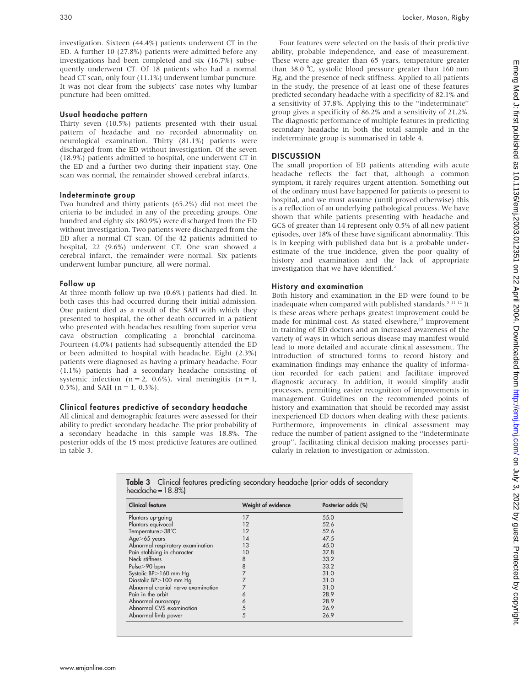investigation. Sixteen (44.4%) patients underwent CT in the ED. A further 10 (27.8%) patients were admitted before any investigations had been completed and six (16.7%) subsequently underwent CT. Of 18 patients who had a normal head CT scan, only four (11.1%) underwent lumbar puncture. It was not clear from the subjects' case notes why lumbar puncture had been omitted.

#### Usual headache pattern

Thirty seven (10.5%) patients presented with their usual pattern of headache and no recorded abnormality on neurological examination. Thirty (81.1%) patients were discharged from the ED without investigation. Of the seven (18.9%) patients admitted to hospital, one underwent CT in the ED and a further two during their inpatient stay. One scan was normal, the remainder showed cerebral infarcts.

#### Indeterminate group

Two hundred and thirty patients (65.2%) did not meet the criteria to be included in any of the preceding groups. One hundred and eighty six (80.9%) were discharged from the ED without investigation. Two patients were discharged from the ED after a normal CT scan. Of the 42 patients admitted to hospital, 22 (9.6%) underwent CT. One scan showed a cerebral infarct, the remainder were normal. Six patients underwent lumbar puncture, all were normal.

#### Follow up

At three month follow up two (0.6%) patients had died. In both cases this had occurred during their initial admission. One patient died as a result of the SAH with which they presented to hospital, the other death occurred in a patient who presented with headaches resulting from superior vena cava obstruction complicating a bronchial carcinoma. Fourteen (4.0%) patients had subsequently attended the ED or been admitted to hospital with headache. Eight (2.3%) patients were diagnosed as having a primary headache. Four (1.1%) patients had a secondary headache consisting of systemic infection ( $n = 2$ , 0.6%), viral meningitis ( $n = 1$ , 0.3%), and SAH ( $n = 1, 0.3\%$ ).

## Clinical features predictive of secondary headache

All clinical and demographic features were assessed for their ability to predict secondary headache. The prior probability of a secondary headache in this sample was 18.8%. The posterior odds of the 15 most predictive features are outlined in table 3.

Four features were selected on the basis of their predictive ability, probable independence, and ease of measurement. These were age greater than 65 years, temperature greater than 38.0  $\degree$ C, systolic blood pressure greater than 160 mm Hg, and the presence of neck stiffness. Applied to all patients in the study, the presence of at least one of these features predicted secondary headache with a specificity of 82.1% and a sensitivity of 37.8%. Applying this to the ''indeterminate'' group gives a specificity of 86.2% and a sensitivity of 21.2%. The diagnostic performance of multiple features in predicting secondary headache in both the total sample and in the indeterminate group is summarised in table 4.

## **DISCUSSION**

The small proportion of ED patients attending with acute headache reflects the fact that, although a common symptom, it rarely requires urgent attention. Something out of the ordinary must have happened for patients to present to hospital, and we must assume (until proved otherwise) this is a reflection of an underlying pathological process. We have shown that while patients presenting with headache and GCS of greater than 14 represent only 0.5% of all new patient episodes, over 18% of these have significant abnormality. This is in keeping with published data but is a probable underestimate of the true incidence, given the poor quality of history and examination and the lack of appropriate investigation that we have identified.<sup>2</sup>

### History and examination

Both history and examination in the ED were found to be inadequate when compared with published standards.<sup>5 11 12</sup> It is these areas where perhaps greatest improvement could be made for minimal cost. As stated elsewhere,<sup>13</sup> improvement in training of ED doctors and an increased awareness of the variety of ways in which serious disease may manifest would lead to more detailed and accurate clinical assessment. The introduction of structured forms to record history and examination findings may enhance the quality of information recorded for each patient and facilitate improved diagnostic accuracy. In addition, it would simplify audit processes, permitting easier recognition of improvements in management. Guidelines on the recommended points of history and examination that should be recorded may assist inexperienced ED doctors when dealing with these patients. Furthermore, improvements in clinical assessment may reduce the number of patient assigned to the ''indeterminate group'', facilitating clinical decision making processes particularly in relation to investigation or admission.

| <b>Clinical feature</b>            | Weight of evidence | Posterior odds (%) |  |
|------------------------------------|--------------------|--------------------|--|
| Plantars up-going                  | 17                 | 55.0               |  |
| Plantars equivocal                 | 12                 | 52.6               |  |
| Temperature>38°C                   | 12                 | 52.6               |  |
| Age>65 years                       | 14                 | 47.5               |  |
| Abnormal respiratory examination   | 13                 | 45.0               |  |
| Pain stabbing in character         | 10                 | 37.8               |  |
| Neck stiffness                     | 8                  | 33.2               |  |
| Pulse>90 bpm                       | $\frac{8}{7}$      | 33.2               |  |
| Systolic BP>160 mm Hg              |                    | 31.0               |  |
| Diastolic BP>100 mm Hg             | 7                  | 31.0               |  |
| Abnormal cranial nerve examination |                    | 31.0               |  |
| Pain in the orbit                  | Ô                  | 28.9               |  |
| Abnormal auroscopy                 | 6                  | 28.9               |  |
| Abnormal CVS examination           | 5                  | 26.9               |  |
| Abnormal limb power                | 5                  | 26.9               |  |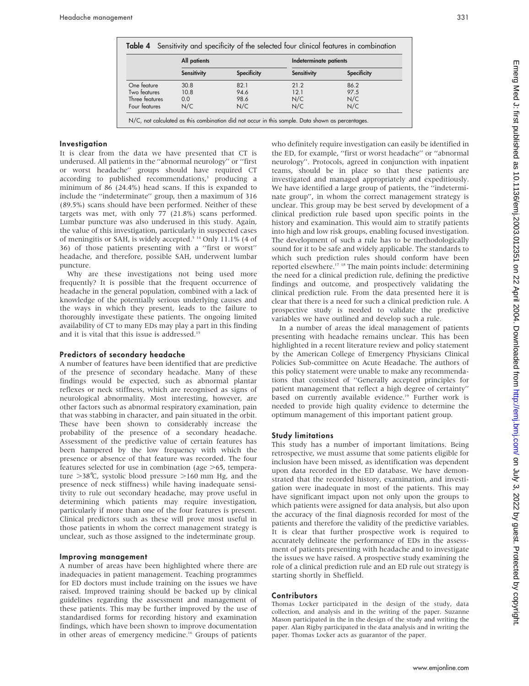|                | All patients       |                    | Indeterminate patients |                    |
|----------------|--------------------|--------------------|------------------------|--------------------|
|                | <b>Sensitivity</b> | <b>Specificity</b> | <b>Sensitivity</b>     | <b>Specificity</b> |
| One feature    | 30.8               | 82.1               | 21.2                   | 86.2               |
| Two features   | 10.8               | 94.6               | 121                    | 97.5               |
| Three features | 0.0                | 98.6               | N/C                    | N/C                |
| Four features  | N/C                | N/C                | N/C                    | N/C                |

#### **Investigation**

It is clear from the data we have presented that CT is underused. All patients in the ''abnormal neurology'' or ''first or worst headache'' groups should have required CT according to published recommendations,<sup>3</sup> producing a minimum of 86 (24.4%) head scans. If this is expanded to include the ''indeterminate'' group, then a maximum of 316 (89.5%) scans should have been performed. Neither of these targets was met, with only 77 (21.8%) scans performed. Lumbar puncture was also underused in this study. Again, the value of this investigation, particularly in suspected cases of meningitis or SAH, is widely accepted.<sup>5 14</sup> Only 11.1% (4 of 36) of those patients presenting with a ''first or worst'' headache, and therefore, possible SAH, underwent lumbar puncture.

Why are these investigations not being used more frequently? It is possible that the frequent occurrence of headache in the general population, combined with a lack of knowledge of the potentially serious underlying causes and the ways in which they present, leads to the failure to thoroughly investigate these patients. The ongoing limited availability of CT to many EDs may play a part in this finding and it is vital that this issue is addressed.<sup>15</sup>

#### Predictors of secondary headache

A number of features have been identified that are predictive of the presence of secondary headache. Many of these findings would be expected, such as abnormal plantar reflexes or neck stiffness, which are recognised as signs of neurological abnormality. Most interesting, however, are other factors such as abnormal respiratory examination, pain that was stabbing in character, and pain situated in the orbit. These have been shown to considerably increase the probability of the presence of a secondary headache. Assessment of the predictive value of certain features has been hampered by the low frequency with which the presence or absence of that feature was recorded. The four features selected for use in combination (age  $>65$ , temperature  $>38^{\circ}$ C, systolic blood pressure  $>160$  mm Hg, and the presence of neck stiffness) while having inadequate sensitivity to rule out secondary headache, may prove useful in determining which patients may require investigation, particularly if more than one of the four features is present. Clinical predictors such as these will prove most useful in those patients in whom the correct management strategy is unclear, such as those assigned to the indeterminate group.

#### Improving management

A number of areas have been highlighted where there are inadequacies in patient management. Teaching programmes for ED doctors must include training on the issues we have raised. Improved training should be backed up by clinical guidelines regarding the assessment and management of these patients. This may be further improved by the use of standardised forms for recording history and examination findings, which have been shown to improve documentation in other areas of emergency medicine.<sup>16</sup> Groups of patients

who definitely require investigation can easily be identified in the ED, for example, ''first or worst headache'' or ''abnormal neurology''. Protocols, agreed in conjunction with inpatient teams, should be in place so that these patients are investigated and managed appropriately and expeditiously. We have identified a large group of patients, the ''indeterminate group'', in whom the correct management strategy is unclear. This group may be best served by development of a clinical prediction rule based upon specific points in the history and examination. This would aim to stratify patients into high and low risk groups, enabling focused investigation. The development of such a rule has to be methodologically sound for it to be safe and widely applicable. The standards to which such prediction rules should conform have been reported elsewhere.17 18 The main points include: determining the need for a clinical prediction rule, defining the predictive findings and outcome, and prospectively validating the clinical prediction rule. From the data presented here it is clear that there is a need for such a clinical prediction rule. A prospective study is needed to validate the predictive variables we have outlined and develop such a rule.

In a number of areas the ideal management of patients presenting with headache remains unclear. This has been highlighted in a recent literature review and policy statement by the American College of Emergency Physicians Clinical Policies Sub-committee on Acute Headache. The authors of this policy statement were unable to make any recommendations that consisted of ''Generally accepted principles for patient management that reflect a high degree of certainty'' based on currently available evidence.<sup>19</sup> Further work is needed to provide high quality evidence to determine the optimum management of this important patient group.

#### Study limitations

This study has a number of important limitations. Being retrospective, we must assume that some patients eligible for inclusion have been missed, as identification was dependent upon data recorded in the ED database. We have demonstrated that the recorded history, examination, and investigation were inadequate in most of the patients. This may have significant impact upon not only upon the groups to which patients were assigned for data analysis, but also upon the accuracy of the final diagnosis recorded for most of the patients and therefore the validity of the predictive variables. It is clear that further prospective work is required to accurately delineate the performance of EDs in the assessment of patients presenting with headache and to investigate the issues we have raised. A prospective study examining the role of a clinical prediction rule and an ED rule out strategy is starting shortly in Sheffield.

#### **Contributors**

Thomas Locker participated in the design of the study, data collection, and analysis and in the writing of the paper. Suzanne Mason participated in the in the design of the study and writing the paper. Alan Rigby participated in the data analysis and in writing the paper. Thomas Locker acts as guarantor of the paper.